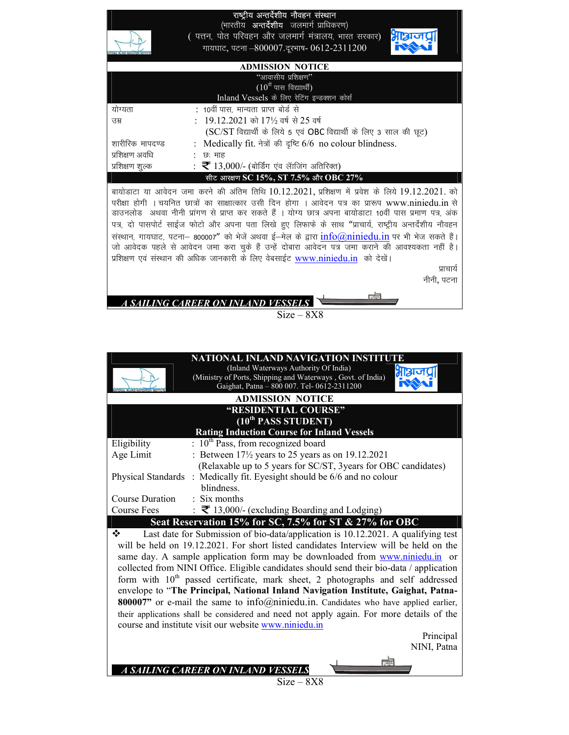## राष्ट्रीय अन्तर्देशीय नौवहन संस्थान

(भारतीय **अन्तर्देशीय** जलमार्ग <u>प्राधिकरण)</u>

( पत्तन, पोत परिवहन और जलमार्ग मंत्रालय, भारत सरकार) गायघाट, पटना -800007.दरभाष- 0612-2311200



| <b>ADMISSION NOTICE</b> |                                                                     |  |  |  |  |
|-------------------------|---------------------------------------------------------------------|--|--|--|--|
|                         | "आवासीय प्रशिक्षण"                                                  |  |  |  |  |
|                         | $(10^{\text{th}}$ पास विद्याार्थी)                                  |  |  |  |  |
|                         | Inland Vessels के लिए रेटिंग इन्डक्शन कोर्स                         |  |  |  |  |
| योग्यता                 | : 10वीं पास, मान्यता प्राप्त बोर्ड से                               |  |  |  |  |
| ਤਸ਼                     | : 19.12.2021 को 17½ वर्ष से 25 वर्ष                                 |  |  |  |  |
|                         | (SC/ST विद्यार्थी के लिये 5 एवं OBC विद्यार्थी के लिए 3 साल की छूट) |  |  |  |  |
| शारीरिक मापदण्ड         | : Medically fit. नेत्रों की दृष्टि 6/6 no colour blindness.         |  |  |  |  |
| प्रशिक्षण अवधि          | छः माह                                                              |  |  |  |  |
| प्रशिक्षण शुल्क         | : $\bar{\mathbf{\tau}}$ 13,000/- (बोर्डिंग एंव लॅाजिंग अतिरिक्त)    |  |  |  |  |
|                         | सीट आरक्षण SC 15%, ST 7.5% और OBC 27%                               |  |  |  |  |

बायोडाटा या आवेदन जमा करने की अंतिम तिथि 10.12.2021, प्रशिक्षण में प्रवेश के लिये 19.12.2021. को परीक्षा होगी । चयनित छात्रों का साक्षात्कार उसी दिन होगा । आवेदन पत्र का प्रारूप www.niniedu.in से डाउनलोड) अथवा नीनी प्रांगण से प्राप्त कर सकते हैं । योग्य छात्र अपना बायोडाटा 10वीं पास प्रमाण पत्र, अंक पत्र, दो पासपोर्ट साईज फोटो और अपना पता लिखे हुए लिफाफे के साथ "प्राचार्य, राष्ट्रीय अन्तर्देशीय नौवहन संस्थान, गायघाट, पटना– 800007" को भेजें अथवा ई–मेल के द्वारा info@niniedu.in पर भी भेज सकते हैं। जो आवेदक पहले से आवेदन जमा करा चुके हैं उन्हें दोबारा आवेदन पत्र जमा कराने की आवश्यकता नहीं है। प्रशिक्षण एवं संस्थान की अधिक जानकारी के लिए वेबसाईट www.niniedu.in को देखें।

पाचार्य नीनी, पटना

A SAILING CAREER ON INLAND VESSEL

 $Size - 8X8$